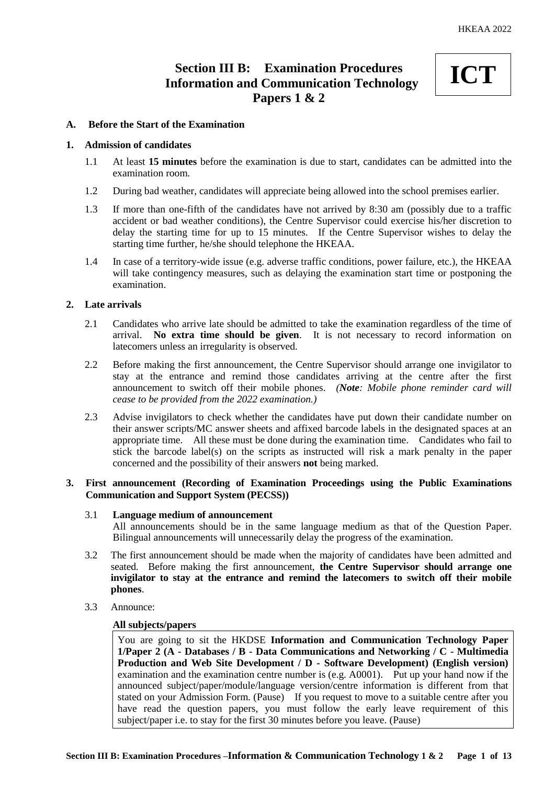# **Section III B: Examination Procedures Information and Communication Technology Papers 1 & 2**



## **A. Before the Start of the Examination**

#### **1. Admission of candidates**

- 1.1 At least **15 minutes** before the examination is due to start, candidates can be admitted into the examination room.
- 1.2 During bad weather, candidates will appreciate being allowed into the school premises earlier.
- 1.3 If more than one-fifth of the candidates have not arrived by 8:30 am (possibly due to a traffic accident or bad weather conditions), the Centre Supervisor could exercise his/her discretion to delay the starting time for up to 15 minutes. If the Centre Supervisor wishes to delay the starting time further, he/she should telephone the HKEAA.
- 1.4 In case of a territory-wide issue (e.g. adverse traffic conditions, power failure, etc.), the HKEAA will take contingency measures, such as delaying the examination start time or postponing the examination.

# **2. Late arrivals**

- 2.1 Candidates who arrive late should be admitted to take the examination regardless of the time of arrival. **No extra time should be given**. It is not necessary to record information on latecomers unless an irregularity is observed.
- 2.2 Before making the first announcement, the Centre Supervisor should arrange one invigilator to stay at the entrance and remind those candidates arriving at the centre after the first announcement to switch off their mobile phones. *(Note: Mobile phone reminder card will cease to be provided from the 2022 examination.)*
- 2.3 Advise invigilators to check whether the candidates have put down their candidate number on their answer scripts/MC answer sheets and affixed barcode labels in the designated spaces at an appropriate time. All these must be done during the examination time. Candidates who fail to stick the barcode label(s) on the scripts as instructed will risk a mark penalty in the paper concerned and the possibility of their answers **not** being marked.

# **3. First announcement (Recording of Examination Proceedings using the Public Examinations Communication and Support System (PECSS))**

# 3.1 **Language medium of announcement**

All announcements should be in the same language medium as that of the Question Paper. Bilingual announcements will unnecessarily delay the progress of the examination.

- 3.2 The first announcement should be made when the majority of candidates have been admitted and seated. Before making the first announcement, **the Centre Supervisor should arrange one invigilator to stay at the entrance and remind the latecomers to switch off their mobile phones**.
- 3.3 Announce:

# **All subjects/papers**

You are going to sit the HKDSE **Information and Communication Technology Paper 1/Paper 2 (A - Databases / B - Data Communications and Networking / C - Multimedia Production and Web Site Development / D - Software Development) (English version)** examination and the examination centre number is (e.g. A0001). Put up your hand now if the announced subject/paper/module/language version/centre information is different from that stated on your Admission Form. (Pause) If you request to move to a suitable centre after you have read the question papers, you must follow the early leave requirement of this subject/paper i.e. to stay for the first 30 minutes before you leave. (Pause)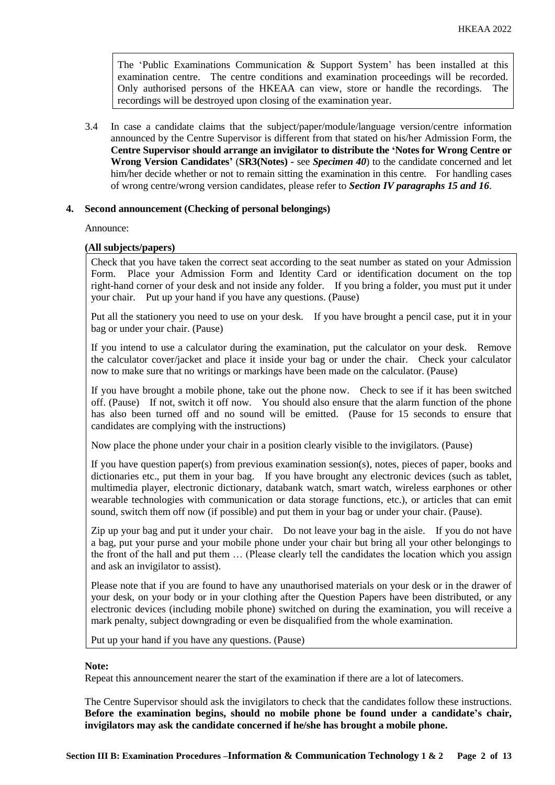The 'Public Examinations Communication  $\&$  Support System' has been installed at this examination centre. The centre conditions and examination proceedings will be recorded. Only authorised persons of the HKEAA can view, store or handle the recordings. The recordings will be destroyed upon closing of the examination year.

3.4 In case a candidate claims that the subject/paper/module/language version/centre information announced by the Centre Supervisor is different from that stated on his/her Admission Form, the **Centre Supervisor should arrange an invigilator to distribute the 'Notes for Wrong Centre or Wrong Version Candidates'** (**SR3(Notes) -** see *Specimen 40*) to the candidate concerned and let him/her decide whether or not to remain sitting the examination in this centre. For handling cases of wrong centre/wrong version candidates, please refer to *Section IV paragraphs 15 and 16*.

## **4. Second announcement (Checking of personal belongings)**

Announce:

## **(All subjects/papers)**

Check that you have taken the correct seat according to the seat number as stated on your Admission Place your Admission Form and Identity Card or identification document on the top right-hand corner of your desk and not inside any folder. If you bring a folder, you must put it under your chair. Put up your hand if you have any questions. (Pause)

Put all the stationery you need to use on your desk. If you have brought a pencil case, put it in your bag or under your chair. (Pause)

If you intend to use a calculator during the examination, put the calculator on your desk. Remove the calculator cover/jacket and place it inside your bag or under the chair. Check your calculator now to make sure that no writings or markings have been made on the calculator. (Pause)

If you have brought a mobile phone, take out the phone now. Check to see if it has been switched off. (Pause) If not, switch it off now. You should also ensure that the alarm function of the phone has also been turned off and no sound will be emitted. (Pause for 15 seconds to ensure that candidates are complying with the instructions)

Now place the phone under your chair in a position clearly visible to the invigilators. (Pause)

If you have question paper(s) from previous examination session(s), notes, pieces of paper, books and dictionaries etc., put them in your bag. If you have brought any electronic devices (such as tablet, multimedia player, electronic dictionary, databank watch, smart watch, wireless earphones or other wearable technologies with communication or data storage functions, etc.), or articles that can emit sound, switch them off now (if possible) and put them in your bag or under your chair. (Pause).

Zip up your bag and put it under your chair. Do not leave your bag in the aisle. If you do not have a bag, put your purse and your mobile phone under your chair but bring all your other belongings to the front of the hall and put them … (Please clearly tell the candidates the location which you assign and ask an invigilator to assist).

Please note that if you are found to have any unauthorised materials on your desk or in the drawer of your desk, on your body or in your clothing after the Question Papers have been distributed, or any electronic devices (including mobile phone) switched on during the examination, you will receive a mark penalty, subject downgrading or even be disqualified from the whole examination.

Put up your hand if you have any questions. (Pause)

#### **Note:**

Repeat this announcement nearer the start of the examination if there are a lot of latecomers.

The Centre Supervisor should ask the invigilators to check that the candidates follow these instructions. **Before the examination begins, should no mobile phone be found under a candidate's chair, invigilators may ask the candidate concerned if he/she has brought a mobile phone.**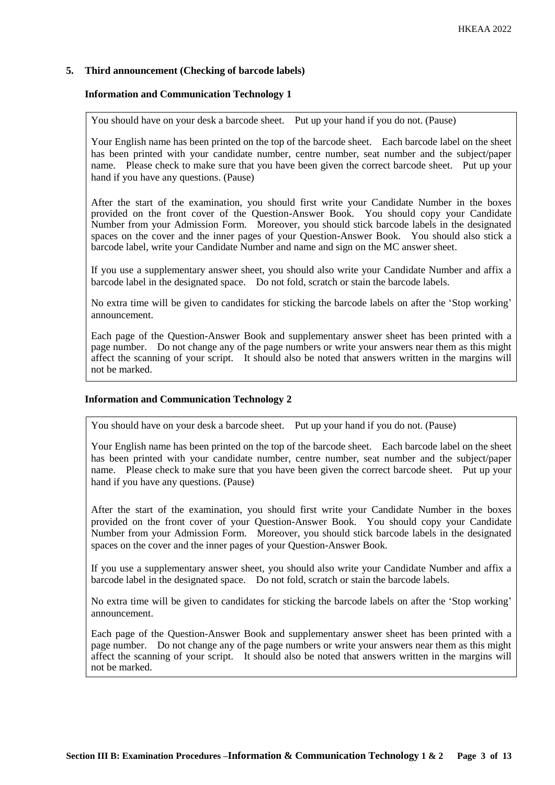# **5. Third announcement (Checking of barcode labels)**

## **Information and Communication Technology 1**

You should have on your desk a barcode sheet. Put up your hand if you do not. (Pause)

Your English name has been printed on the top of the barcode sheet. Each barcode label on the sheet has been printed with your candidate number, centre number, seat number and the subject/paper name. Please check to make sure that you have been given the correct barcode sheet. Put up your hand if you have any questions. (Pause)

After the start of the examination, you should first write your Candidate Number in the boxes provided on the front cover of the Question-Answer Book. You should copy your Candidate Number from your Admission Form. Moreover, you should stick barcode labels in the designated spaces on the cover and the inner pages of your Question-Answer Book. You should also stick a barcode label, write your Candidate Number and name and sign on the MC answer sheet.

If you use a supplementary answer sheet, you should also write your Candidate Number and affix a barcode label in the designated space. Do not fold, scratch or stain the barcode labels.

No extra time will be given to candidates for sticking the barcode labels on after the 'Stop working' announcement.

Each page of the Question-Answer Book and supplementary answer sheet has been printed with a page number. Do not change any of the page numbers or write your answers near them as this might affect the scanning of your script. It should also be noted that answers written in the margins will not be marked.

#### **Information and Communication Technology 2**

You should have on your desk a barcode sheet. Put up your hand if you do not. (Pause)

Your English name has been printed on the top of the barcode sheet. Each barcode label on the sheet has been printed with your candidate number, centre number, seat number and the subject/paper name. Please check to make sure that you have been given the correct barcode sheet. Put up your hand if you have any questions. (Pause)

After the start of the examination, you should first write your Candidate Number in the boxes provided on the front cover of your Question-Answer Book. You should copy your Candidate Number from your Admission Form. Moreover, you should stick barcode labels in the designated spaces on the cover and the inner pages of your Question-Answer Book.

If you use a supplementary answer sheet, you should also write your Candidate Number and affix a barcode label in the designated space. Do not fold, scratch or stain the barcode labels.

No extra time will be given to candidates for sticking the barcode labels on after the 'Stop working' announcement.

Each page of the Question-Answer Book and supplementary answer sheet has been printed with a page number. Do not change any of the page numbers or write your answers near them as this might affect the scanning of your script. It should also be noted that answers written in the margins will not be marked.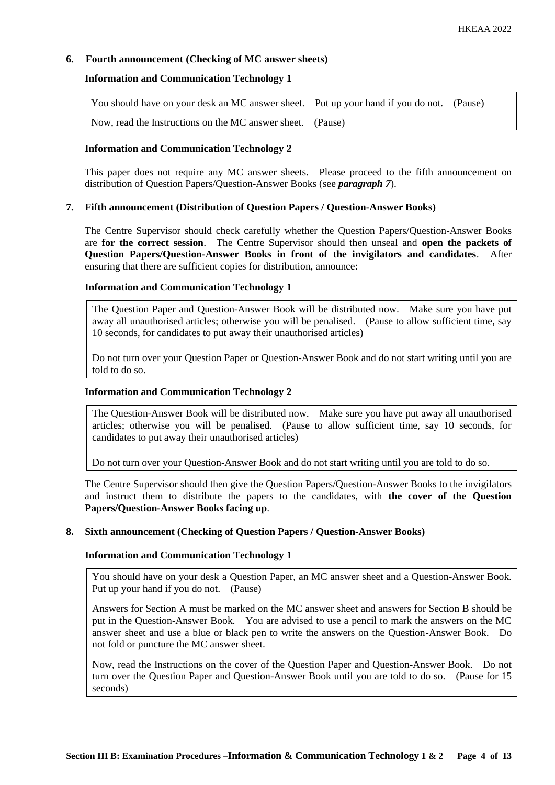# **6. Fourth announcement (Checking of MC answer sheets)**

## **Information and Communication Technology 1**

| You should have on your desk an MC answer sheet. Put up your hand if you do not. (Pause) |  |
|------------------------------------------------------------------------------------------|--|
| Now, read the Instructions on the MC answer sheet. (Pause)                               |  |

# **Information and Communication Technology 2**

This paper does not require any MC answer sheets. Please proceed to the fifth announcement on distribution of Question Papers/Question-Answer Books (see *paragraph 7*).

## **7. Fifth announcement (Distribution of Question Papers / Question-Answer Books)**

The Centre Supervisor should check carefully whether the Question Papers/Question-Answer Books are **for the correct session**. The Centre Supervisor should then unseal and **open the packets of Question Papers/Question-Answer Books in front of the invigilators and candidates**. After ensuring that there are sufficient copies for distribution, announce:

## **Information and Communication Technology 1**

The Question Paper and Question-Answer Book will be distributed now. Make sure you have put away all unauthorised articles; otherwise you will be penalised. (Pause to allow sufficient time, say 10 seconds, for candidates to put away their unauthorised articles)

Do not turn over your Question Paper or Question-Answer Book and do not start writing until you are told to do so.

# **Information and Communication Technology 2**

The Question-Answer Book will be distributed now. Make sure you have put away all unauthorised articles; otherwise you will be penalised. (Pause to allow sufficient time, say 10 seconds, for candidates to put away their unauthorised articles)

Do not turn over your Question-Answer Book and do not start writing until you are told to do so.

The Centre Supervisor should then give the Question Papers/Question-Answer Books to the invigilators and instruct them to distribute the papers to the candidates, with **the cover of the Question Papers/Question-Answer Books facing up**.

#### **8. Sixth announcement (Checking of Question Papers / Question-Answer Books)**

# **Information and Communication Technology 1**

You should have on your desk a Question Paper, an MC answer sheet and a Question-Answer Book. Put up your hand if you do not. (Pause)

Answers for Section A must be marked on the MC answer sheet and answers for Section B should be put in the Question-Answer Book. You are advised to use a pencil to mark the answers on the MC answer sheet and use a blue or black pen to write the answers on the Question-Answer Book. Do not fold or puncture the MC answer sheet.

Now, read the Instructions on the cover of the Question Paper and Question-Answer Book. Do not turn over the Question Paper and Question-Answer Book until you are told to do so. (Pause for 15 seconds)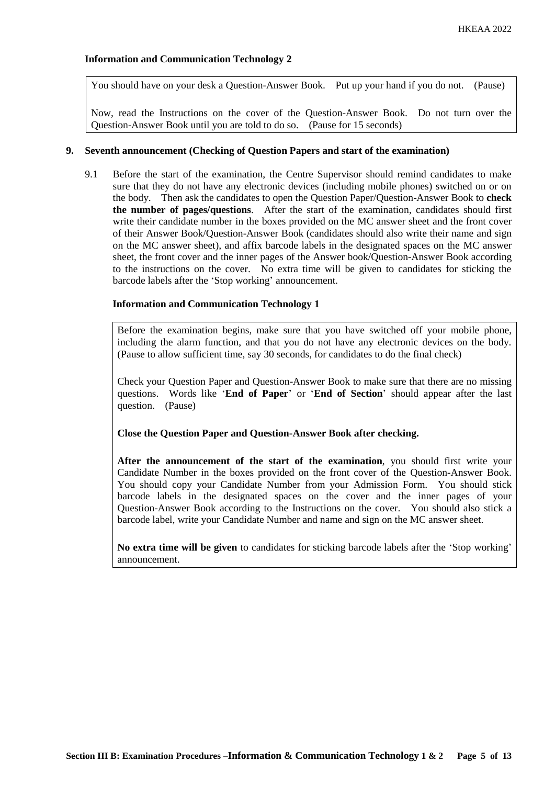You should have on your desk a Question-Answer Book. Put up your hand if you do not. (Pause)

Now, read the Instructions on the cover of the Question-Answer Book. Do not turn over the Question-Answer Book until you are told to do so. (Pause for 15 seconds)

#### **9. Seventh announcement (Checking of Question Papers and start of the examination)**

9.1 Before the start of the examination, the Centre Supervisor should remind candidates to make sure that they do not have any electronic devices (including mobile phones) switched on or on the body. Then ask the candidates to open the Question Paper/Question-Answer Book to **check the number of pages/questions**. After the start of the examination, candidates should first write their candidate number in the boxes provided on the MC answer sheet and the front cover of their Answer Book/Question-Answer Book (candidates should also write their name and sign on the MC answer sheet), and affix barcode labels in the designated spaces on the MC answer sheet, the front cover and the inner pages of the Answer book/Question-Answer Book according to the instructions on the cover. No extra time will be given to candidates for sticking the barcode labels after the 'Stop working' announcement.

## **Information and Communication Technology 1**

Before the examination begins, make sure that you have switched off your mobile phone, including the alarm function, and that you do not have any electronic devices on the body. (Pause to allow sufficient time, say 30 seconds, for candidates to do the final check)

Check your Question Paper and Question-Answer Book to make sure that there are no missing questions. Words like '**End of Paper**' or '**End of Section**' should appear after the last question. (Pause)

#### **Close the Question Paper and Question-Answer Book after checking.**

**After the announcement of the start of the examination**, you should first write your Candidate Number in the boxes provided on the front cover of the Question-Answer Book. You should copy your Candidate Number from your Admission Form. You should stick barcode labels in the designated spaces on the cover and the inner pages of your Question-Answer Book according to the Instructions on the cover. You should also stick a barcode label, write your Candidate Number and name and sign on the MC answer sheet.

**No extra time will be given** to candidates for sticking barcode labels after the 'Stop working' announcement.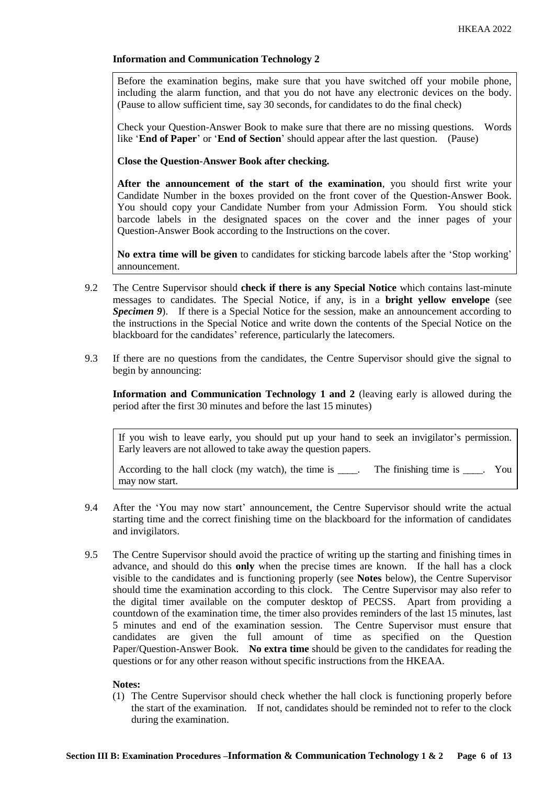Before the examination begins, make sure that you have switched off your mobile phone, including the alarm function, and that you do not have any electronic devices on the body. (Pause to allow sufficient time, say 30 seconds, for candidates to do the final check)

Check your Question-Answer Book to make sure that there are no missing questions. Words like '**End of Paper**' or '**End of Section**' should appear after the last question. (Pause)

**Close the Question-Answer Book after checking.**

**After the announcement of the start of the examination**, you should first write your Candidate Number in the boxes provided on the front cover of the Question-Answer Book. You should copy your Candidate Number from your Admission Form. You should stick barcode labels in the designated spaces on the cover and the inner pages of your Question-Answer Book according to the Instructions on the cover.

**No extra time will be given** to candidates for sticking barcode labels after the 'Stop working' announcement.

- 9.2 The Centre Supervisor should **check if there is any Special Notice** which contains last-minute messages to candidates. The Special Notice, if any, is in a **bright yellow envelope** (see *Specimen 9*). If there is a Special Notice for the session, make an announcement according to the instructions in the Special Notice and write down the contents of the Special Notice on the blackboard for the candidates' reference, particularly the latecomers.
- 9.3 If there are no questions from the candidates, the Centre Supervisor should give the signal to begin by announcing:

**Information and Communication Technology 1 and 2** (leaving early is allowed during the period after the first 30 minutes and before the last 15 minutes)

If you wish to leave early, you should put up your hand to seek an invigilator's permission. Early leavers are not allowed to take away the question papers.

According to the hall clock (my watch), the time is \_\_\_\_. The finishing time is \_\_\_\_. You may now start.

- 9.4 After the 'You may now start' announcement, the Centre Supervisor should write the actual starting time and the correct finishing time on the blackboard for the information of candidates and invigilators.
- 9.5 The Centre Supervisor should avoid the practice of writing up the starting and finishing times in advance, and should do this **only** when the precise times are known. If the hall has a clock visible to the candidates and is functioning properly (see **Notes** below), the Centre Supervisor should time the examination according to this clock. The Centre Supervisor may also refer to the digital timer available on the computer desktop of PECSS. Apart from providing a countdown of the examination time, the timer also provides reminders of the last 15 minutes, last 5 minutes and end of the examination session. The Centre Supervisor must ensure that candidates are given the full amount of time as specified on the Question Paper/Question-Answer Book. **No extra time** should be given to the candidates for reading the questions or for any other reason without specific instructions from the HKEAA.

#### **Notes:**

(1) The Centre Supervisor should check whether the hall clock is functioning properly before the start of the examination. If not, candidates should be reminded not to refer to the clock during the examination.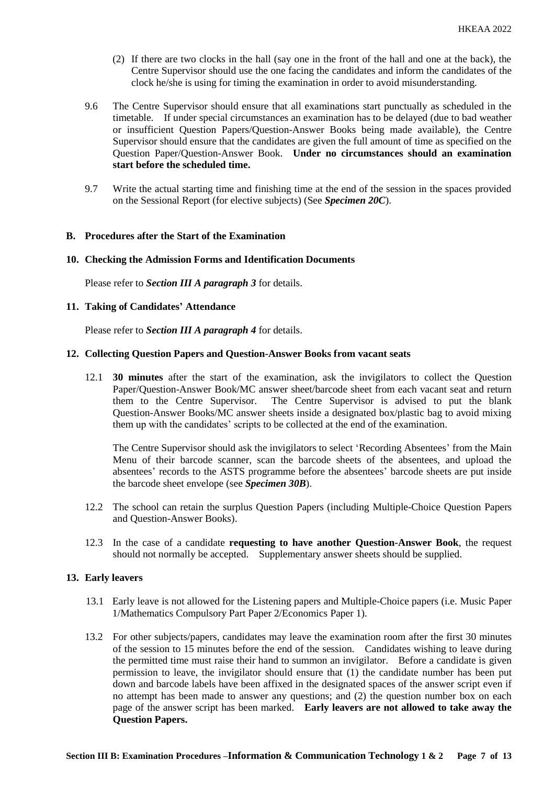- (2) If there are two clocks in the hall (say one in the front of the hall and one at the back), the Centre Supervisor should use the one facing the candidates and inform the candidates of the clock he/she is using for timing the examination in order to avoid misunderstanding.
- 9.6 The Centre Supervisor should ensure that all examinations start punctually as scheduled in the timetable. If under special circumstances an examination has to be delayed (due to bad weather or insufficient Question Papers/Question-Answer Books being made available), the Centre Supervisor should ensure that the candidates are given the full amount of time as specified on the Question Paper/Question-Answer Book. **Under no circumstances should an examination start before the scheduled time.**
- 9.7 Write the actual starting time and finishing time at the end of the session in the spaces provided on the Sessional Report (for elective subjects) (See *Specimen 20C*).

#### **B. Procedures after the Start of the Examination**

## **10. Checking the Admission Forms and Identification Documents**

Please refer to *Section III A paragraph 3* for details.

## **11. Taking of Candidates' Attendance**

Please refer to *Section III A paragraph 4* for details.

# **12. Collecting Question Papers and Question-Answer Books from vacant seats**

12.1 **30 minutes** after the start of the examination, ask the invigilators to collect the Question Paper/Question-Answer Book/MC answer sheet/barcode sheet from each vacant seat and return them to the Centre Supervisor. The Centre Supervisor is advised to put the blank Question-Answer Books/MC answer sheets inside a designated box/plastic bag to avoid mixing them up with the candidates' scripts to be collected at the end of the examination.

The Centre Supervisor should ask the invigilators to select 'Recording Absentees' from the Main Menu of their barcode scanner, scan the barcode sheets of the absentees, and upload the absentees' records to the ASTS programme before the absentees' barcode sheets are put inside the barcode sheet envelope (see *Specimen 30B*).

- 12.2 The school can retain the surplus Question Papers (including Multiple-Choice Question Papers and Question-Answer Books).
- 12.3 In the case of a candidate **requesting to have another Question-Answer Book**, the request should not normally be accepted. Supplementary answer sheets should be supplied.

#### **13. Early leavers**

- 13.1 Early leave is not allowed for the Listening papers and Multiple-Choice papers (i.e. Music Paper 1/Mathematics Compulsory Part Paper 2/Economics Paper 1).
- 13.2 For other subjects/papers, candidates may leave the examination room after the first 30 minutes of the session to 15 minutes before the end of the session. Candidates wishing to leave during the permitted time must raise their hand to summon an invigilator. Before a candidate is given permission to leave, the invigilator should ensure that (1) the candidate number has been put down and barcode labels have been affixed in the designated spaces of the answer script even if no attempt has been made to answer any questions; and (2) the question number box on each page of the answer script has been marked. **Early leavers are not allowed to take away the Question Papers.**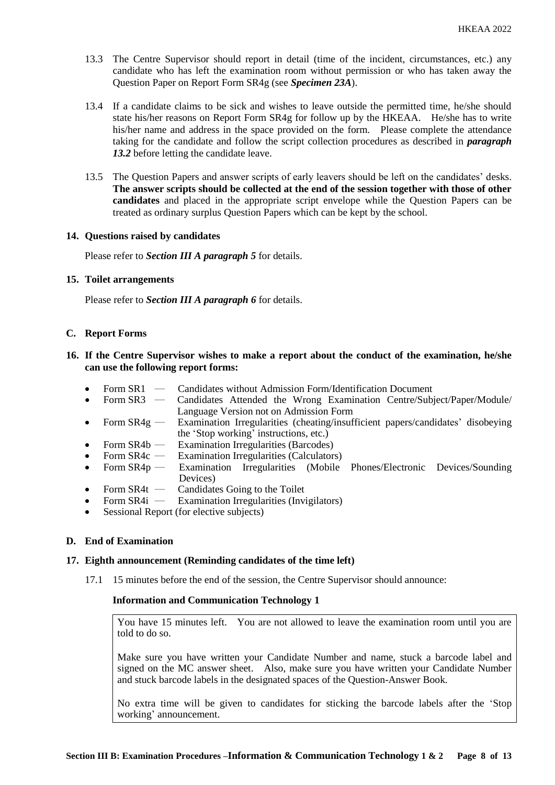- 13.3 The Centre Supervisor should report in detail (time of the incident, circumstances, etc.) any candidate who has left the examination room without permission or who has taken away the Question Paper on Report Form SR4g (see *Specimen 23A*).
- 13.4 If a candidate claims to be sick and wishes to leave outside the permitted time, he/she should state his/her reasons on Report Form SR4g for follow up by the HKEAA. He/she has to write his/her name and address in the space provided on the form. Please complete the attendance taking for the candidate and follow the script collection procedures as described in *paragraph 13.2* before letting the candidate leave.
- 13.5 The Question Papers and answer scripts of early leavers should be left on the candidates' desks. **The answer scripts should be collected at the end of the session together with those of other candidates** and placed in the appropriate script envelope while the Question Papers can be treated as ordinary surplus Question Papers which can be kept by the school.

## **14. Questions raised by candidates**

Please refer to *Section III A paragraph 5* for details.

## **15. Toilet arrangements**

Please refer to *Section III A paragraph 6* for details.

## **C. Report Forms**

- **16. If the Centre Supervisor wishes to make a report about the conduct of the examination, he/she can use the following report forms:**
	- Form SR1 Candidates without Admission Form/Identification Document<br>• Form SR3 Candidates Attended the Wrong Examination Centre/Subi
	- Form SR3 Candidates Attended the Wrong Examination Centre/Subject/Paper/Module/ Language Version not on Admission Form
	- Form SR4g Examination Irregularities (cheating/insufficient papers/candidates' disobeying the 'Stop working' instructions, etc.)
	- Form SR4b Examination Irregularities (Barcodes)
	- Form SR4c Examination Irregularities (Calculators)
	- Form  $SR4p$  Examination Irregularities (Mobile Phones/Electronic Devices/Sounding Devices)
	- Form  $SR4t$  Candidates Going to the Toilet
	- Form SR4i Examination Irregularities (Invigilators)
	- Sessional Report (for elective subjects)

# **D. End of Examination**

#### **17. Eighth announcement (Reminding candidates of the time left)**

17.1 15 minutes before the end of the session, the Centre Supervisor should announce:

#### **Information and Communication Technology 1**

You have 15 minutes left. You are not allowed to leave the examination room until you are told to do so.

Make sure you have written your Candidate Number and name, stuck a barcode label and signed on the MC answer sheet. Also, make sure you have written your Candidate Number and stuck barcode labels in the designated spaces of the Question-Answer Book.

No extra time will be given to candidates for sticking the barcode labels after the 'Stop working' announcement.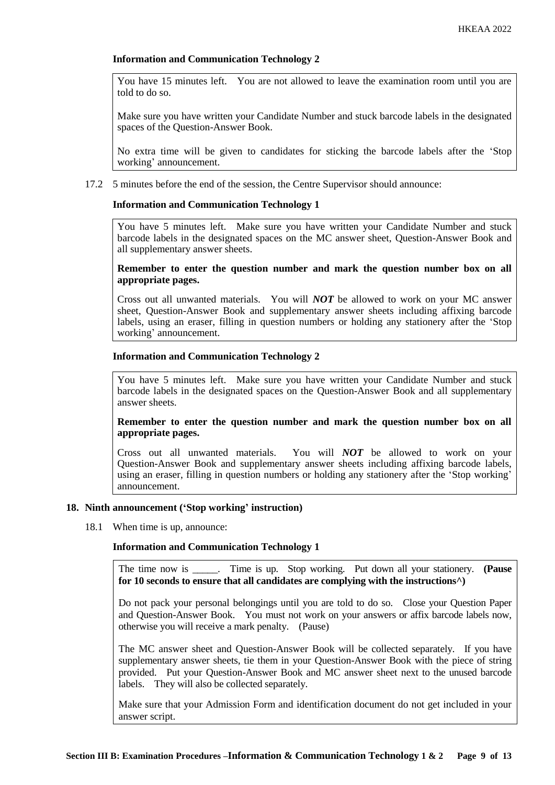You have 15 minutes left. You are not allowed to leave the examination room until you are told to do so.

Make sure you have written your Candidate Number and stuck barcode labels in the designated spaces of the Question-Answer Book.

No extra time will be given to candidates for sticking the barcode labels after the 'Stop working' announcement.

17.2 5 minutes before the end of the session, the Centre Supervisor should announce:

# **Information and Communication Technology 1**

You have 5 minutes left. Make sure you have written your Candidate Number and stuck barcode labels in the designated spaces on the MC answer sheet, Question-Answer Book and all supplementary answer sheets.

## **Remember to enter the question number and mark the question number box on all appropriate pages.**

Cross out all unwanted materials. You will *NOT* be allowed to work on your MC answer sheet, Question-Answer Book and supplementary answer sheets including affixing barcode labels, using an eraser, filling in question numbers or holding any stationery after the 'Stop working' announcement.

## **Information and Communication Technology 2**

You have 5 minutes left. Make sure you have written your Candidate Number and stuck barcode labels in the designated spaces on the Question-Answer Book and all supplementary answer sheets.

## **Remember to enter the question number and mark the question number box on all appropriate pages.**

Cross out all unwanted materials. You will *NOT* be allowed to work on your Question-Answer Book and supplementary answer sheets including affixing barcode labels, using an eraser, filling in question numbers or holding any stationery after the 'Stop working' announcement.

# **18. Ninth announcement ('Stop working' instruction)**

18.1 When time is up, announce:

# **Information and Communication Technology 1**

The time now is \_\_\_\_\_. Time is up. Stop working. Put down all your stationery. **(Pause for 10 seconds to ensure that all candidates are complying with the instructions^)**

Do not pack your personal belongings until you are told to do so. Close your Question Paper and Question-Answer Book. You must not work on your answers or affix barcode labels now, otherwise you will receive a mark penalty. (Pause)

The MC answer sheet and Question-Answer Book will be collected separately. If you have supplementary answer sheets, tie them in your Question-Answer Book with the piece of string provided. Put your Question-Answer Book and MC answer sheet next to the unused barcode labels. They will also be collected separately.

Make sure that your Admission Form and identification document do not get included in your answer script.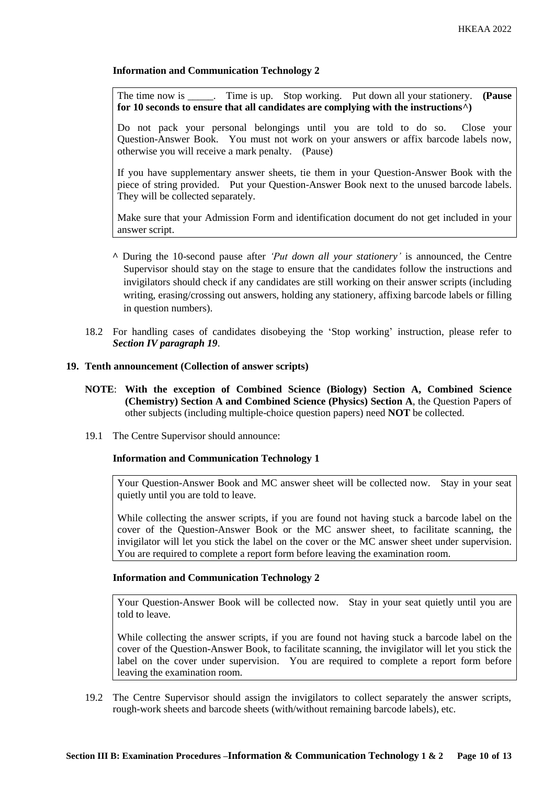The time now is \_\_\_\_\_. Time is up. Stop working. Put down all your stationery. **(Pause for 10 seconds to ensure that all candidates are complying with the instructions^)**

Do not pack your personal belongings until you are told to do so. Close your Question-Answer Book. You must not work on your answers or affix barcode labels now, otherwise you will receive a mark penalty. (Pause)

If you have supplementary answer sheets, tie them in your Question-Answer Book with the piece of string provided. Put your Question-Answer Book next to the unused barcode labels. They will be collected separately.

Make sure that your Admission Form and identification document do not get included in your answer script.

- **^** During the 10-second pause after *'Put down all your stationery'* is announced, the Centre Supervisor should stay on the stage to ensure that the candidates follow the instructions and invigilators should check if any candidates are still working on their answer scripts (including writing, erasing/crossing out answers, holding any stationery, affixing barcode labels or filling in question numbers).
- 18.2 For handling cases of candidates disobeying the 'Stop working' instruction, please refer to *Section IV paragraph 19*.

#### **19. Tenth announcement (Collection of answer scripts)**

- **NOTE**: **With the exception of Combined Science (Biology) Section A, Combined Science (Chemistry) Section A and Combined Science (Physics) Section A**, the Question Papers of other subjects (including multiple-choice question papers) need **NOT** be collected.
- 19.1 The Centre Supervisor should announce:

#### **Information and Communication Technology 1**

Your Question-Answer Book and MC answer sheet will be collected now. Stay in your seat quietly until you are told to leave.

While collecting the answer scripts, if you are found not having stuck a barcode label on the cover of the Question-Answer Book or the MC answer sheet, to facilitate scanning, the invigilator will let you stick the label on the cover or the MC answer sheet under supervision. You are required to complete a report form before leaving the examination room.

#### **Information and Communication Technology 2**

Your Question-Answer Book will be collected now. Stay in your seat quietly until you are told to leave.

While collecting the answer scripts, if you are found not having stuck a barcode label on the cover of the Question-Answer Book, to facilitate scanning, the invigilator will let you stick the label on the cover under supervision. You are required to complete a report form before leaving the examination room.

19.2 The Centre Supervisor should assign the invigilators to collect separately the answer scripts, rough-work sheets and barcode sheets (with/without remaining barcode labels), etc.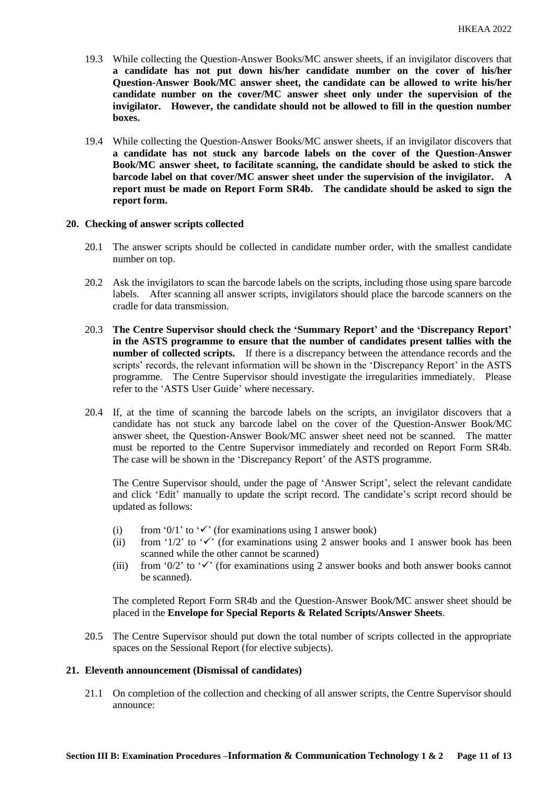- 19.3 While collecting the Question-Answer Books/MC answer sheets, if an invigilator discovers that **a candidate has not put down his/her candidate number on the cover of his/her Question-Answer Book/MC answer sheet, the candidate can be allowed to write his/her candidate number on the cover/MC answer sheet only under the supervision of the invigilator. However, the candidate should not be allowed to fill in the question number boxes.**
- 19.4 While collecting the Question-Answer Books/MC answer sheets, if an invigilator discovers that **a candidate has not stuck any barcode labels on the cover of the Question-Answer Book/MC answer sheet, to facilitate scanning, the candidate should be asked to stick the barcode label on that cover/MC answer sheet under the supervision of the invigilator. A report must be made on Report Form SR4b. The candidate should be asked to sign the report form.**

#### **20. Checking of answer scripts collected**

- 20.1 The answer scripts should be collected in candidate number order, with the smallest candidate number on top.
- 20.2 Ask the invigilators to scan the barcode labels on the scripts, including those using spare barcode labels. After scanning all answer scripts, invigilators should place the barcode scanners on the cradle for data transmission.
- 20.3 **The Centre Supervisor should check the 'Summary Report' and the 'Discrepancy Report' in the ASTS programme to ensure that the number of candidates present tallies with the number of collected scripts.** If there is a discrepancy between the attendance records and the scripts' records, the relevant information will be shown in the 'Discrepancy Report' in the ASTS programme. The Centre Supervisor should investigate the irregularities immediately. Please refer to the 'ASTS User Guide' where necessary.
- 20.4 If, at the time of scanning the barcode labels on the scripts, an invigilator discovers that a candidate has not stuck any barcode label on the cover of the Question-Answer Book/MC answer sheet, the Question-Answer Book/MC answer sheet need not be scanned. The matter must be reported to the Centre Supervisor immediately and recorded on Report Form SR4b. The case will be shown in the 'Discrepancy Report' of the ASTS programme.

The Centre Supervisor should, under the page of 'Answer Script', select the relevant candidate and click 'Edit' manually to update the script record. The candidate's script record should be updated as follows:

- (i) from '0/1' to ' $\checkmark$ ' (for examinations using 1 answer book)
- (ii) from '1/2' to ' $\checkmark$ ' (for examinations using 2 answer books and 1 answer book has been scanned while the other cannot be scanned)
- (iii) from '0/2' to ' $\checkmark$ ' (for examinations using 2 answer books and both answer books cannot be scanned).

The completed Report Form SR4b and the Question-Answer Book/MC answer sheet should be placed in the **Envelope for Special Reports & Related Scripts/Answer Sheets**.

20.5 The Centre Supervisor should put down the total number of scripts collected in the appropriate spaces on the Sessional Report (for elective subjects).

#### **21. Eleventh announcement (Dismissal of candidates)**

21.1 On completion of the collection and checking of all answer scripts, the Centre Supervisor should announce: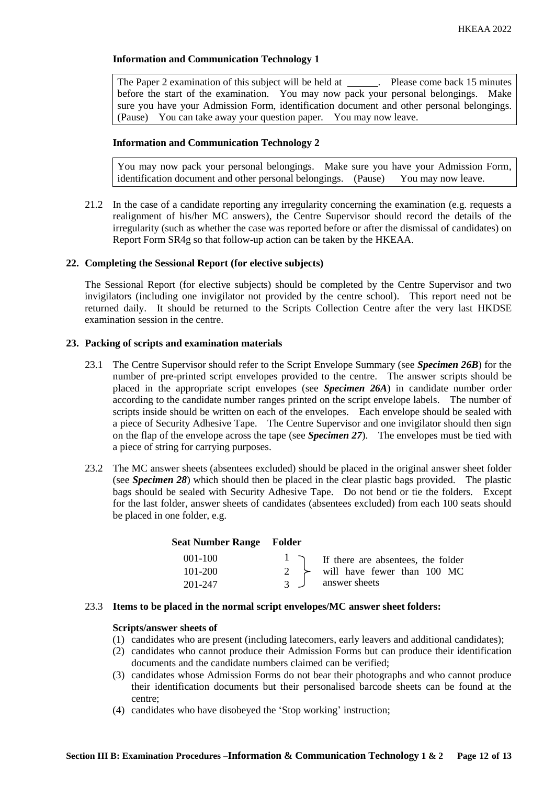The Paper 2 examination of this subject will be held at \_\_\_\_\_\_. Please come back 15 minutes before the start of the examination. You may now pack your personal belongings. Make sure you have your Admission Form, identification document and other personal belongings. (Pause) You can take away your question paper. You may now leave.

#### **Information and Communication Technology 2**

You may now pack your personal belongings. Make sure you have your Admission Form, identification document and other personal belongings. (Pause) You may now leave.

21.2 In the case of a candidate reporting any irregularity concerning the examination (e.g. requests a realignment of his/her MC answers), the Centre Supervisor should record the details of the irregularity (such as whether the case was reported before or after the dismissal of candidates) on Report Form SR4g so that follow-up action can be taken by the HKEAA.

#### **22. Completing the Sessional Report (for elective subjects)**

The Sessional Report (for elective subjects) should be completed by the Centre Supervisor and two invigilators (including one invigilator not provided by the centre school). This report need not be returned daily. It should be returned to the Scripts Collection Centre after the very last HKDSE examination session in the centre.

#### **23. Packing of scripts and examination materials**

- 23.1 The Centre Supervisor should refer to the Script Envelope Summary (see *Specimen 26B*) for the number of pre-printed script envelopes provided to the centre. The answer scripts should be placed in the appropriate script envelopes (see *Specimen 26A*) in candidate number order according to the candidate number ranges printed on the script envelope labels. The number of scripts inside should be written on each of the envelopes. Each envelope should be sealed with a piece of Security Adhesive Tape. The Centre Supervisor and one invigilator should then sign on the flap of the envelope across the tape (see *Specimen 27*). The envelopes must be tied with a piece of string for carrying purposes.
- 23.2 The MC answer sheets (absentees excluded) should be placed in the original answer sheet folder (see *Specimen 28*) which should then be placed in the clear plastic bags provided. The plastic bags should be sealed with Security Adhesive Tape. Do not bend or tie the folders. Except for the last folder, answer sheets of candidates (absentees excluded) from each 100 seats should be placed in one folder, e.g.

| Seat Number Range Folder |                |                                              |
|--------------------------|----------------|----------------------------------------------|
| $001 - 100$              |                | $\vert$ T if there are absentees, the folder |
| 101-200                  |                | 2 $\rightarrow$ will have fewer than 100 MC  |
| 201-247                  | $\overline{3}$ | answer sheets                                |

#### 23.3 **Items to be placed in the normal script envelopes/MC answer sheet folders:**

#### **Scripts/answer sheets of**

- (1) candidates who are present (including latecomers, early leavers and additional candidates);
- (2) candidates who cannot produce their Admission Forms but can produce their identification documents and the candidate numbers claimed can be verified;
- (3) candidates whose Admission Forms do not bear their photographs and who cannot produce their identification documents but their personalised barcode sheets can be found at the centre;
- (4) candidates who have disobeyed the 'Stop working' instruction;